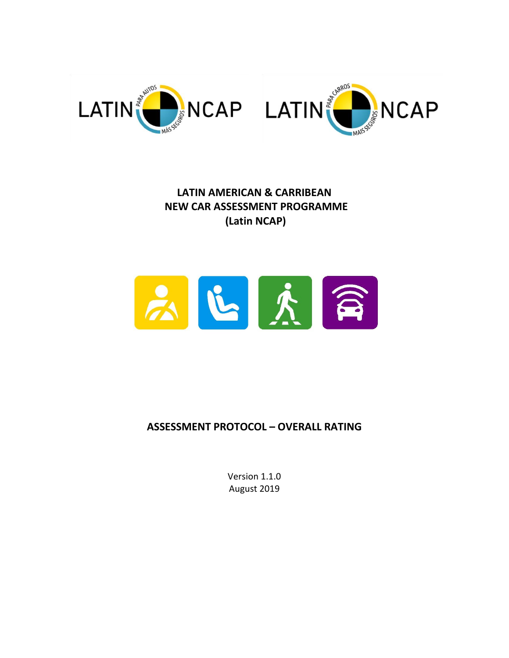

**LATIN AMERICAN & CARRIBEAN NEW CAR ASSESSMENT PROGRAMME (Latin NCAP)**



# **ASSESSMENT PROTOCOL – OVERALL RATING**

Version 1.1.0 August 2019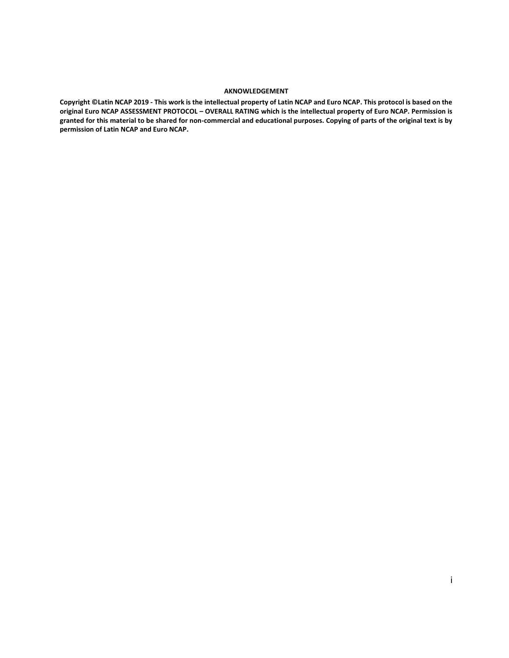#### **AKNOWLEDGEMENT**

**Copyright ©Latin NCAP 2019 - This work is the intellectual property of Latin NCAP and Euro NCAP. This protocol is based on the original Euro NCAP ASSESSMENT PROTOCOL – OVERALL RATING which is the intellectual property of Euro NCAP. Permission is granted for this material to be shared for non-commercial and educational purposes. Copying of parts of the original text is by permission of Latin NCAP and Euro NCAP.**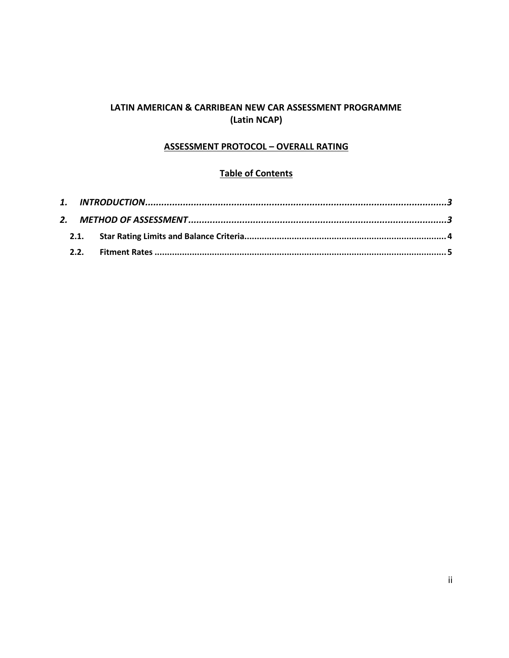# **LATIN AMERICAN & CARRIBEAN NEW CAR ASSESSMENT PROGRAMME (Latin NCAP)**

#### **ASSESSMENT PROTOCOL – OVERALL RATING**

#### **Table of Contents**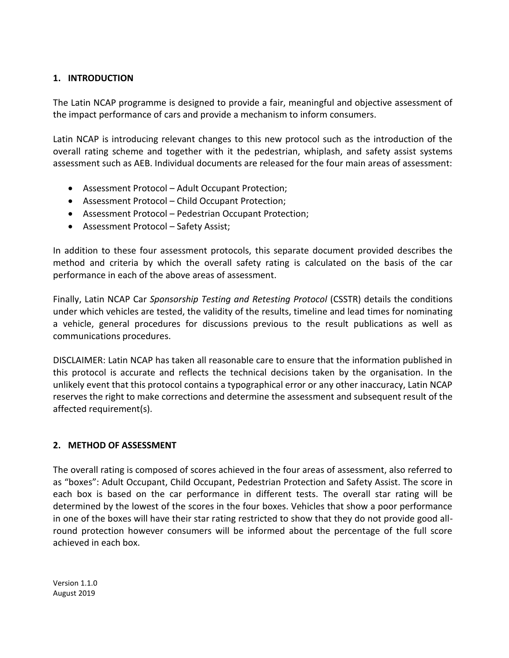#### <span id="page-3-0"></span>**1. INTRODUCTION**

The Latin NCAP programme is designed to provide a fair, meaningful and objective assessment of the impact performance of cars and provide a mechanism to inform consumers.

Latin NCAP is introducing relevant changes to this new protocol such as the introduction of the overall rating scheme and together with it the pedestrian, whiplash, and safety assist systems assessment such as AEB. Individual documents are released for the four main areas of assessment:

- Assessment Protocol Adult Occupant Protection;
- Assessment Protocol Child Occupant Protection;
- Assessment Protocol Pedestrian Occupant Protection;
- Assessment Protocol Safety Assist;

In addition to these four assessment protocols, this separate document provided describes the method and criteria by which the overall safety rating is calculated on the basis of the car performance in each of the above areas of assessment.

Finally, Latin NCAP Car *Sponsorship Testing and Retesting Protocol* (CSSTR) details the conditions under which vehicles are tested, the validity of the results, timeline and lead times for nominating a vehicle, general procedures for discussions previous to the result publications as well as communications procedures.

DISCLAIMER: Latin NCAP has taken all reasonable care to ensure that the information published in this protocol is accurate and reflects the technical decisions taken by the organisation. In the unlikely event that this protocol contains a typographical error or any other inaccuracy, Latin NCAP reserves the right to make corrections and determine the assessment and subsequent result of the affected requirement(s).

# <span id="page-3-1"></span>**2. METHOD OF ASSESSMENT**

The overall rating is composed of scores achieved in the four areas of assessment, also referred to as "boxes": Adult Occupant, Child Occupant, Pedestrian Protection and Safety Assist. The score in each box is based on the car performance in different tests. The overall star rating will be determined by the lowest of the scores in the four boxes. Vehicles that show a poor performance in one of the boxes will have their star rating restricted to show that they do not provide good allround protection however consumers will be informed about the percentage of the full score achieved in each box.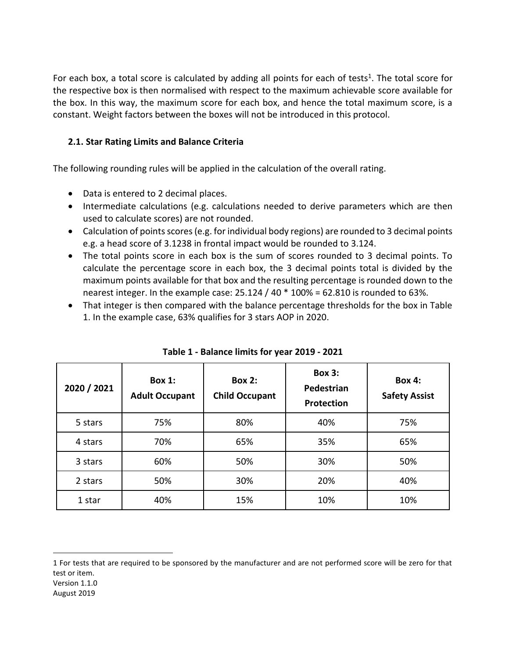For each box, a total score is calculated by adding all points for each of tests<sup>1</sup>. The total score for the respective box is then normalised with respect to the maximum achievable score available for the box. In this way, the maximum score for each box, and hence the total maximum score, is a constant. Weight factors between the boxes will not be introduced in this protocol.

# <span id="page-4-0"></span>**2.1. Star Rating Limits and Balance Criteria**

The following rounding rules will be applied in the calculation of the overall rating.

• Data is entered to 2 decimal places.

 $\overline{a}$ 

- Intermediate calculations (e.g. calculations needed to derive parameters which are then used to calculate scores) are not rounded.
- Calculation of points scores (e.g. for individual body regions) are rounded to 3 decimal points e.g. a head score of 3.1238 in frontal impact would be rounded to 3.124.
- The total points score in each box is the sum of scores rounded to 3 decimal points. To calculate the percentage score in each box, the 3 decimal points total is divided by the maximum points available for that box and the resulting percentage is rounded down to the nearest integer. In the example case: 25.124 / 40 \* 100% = 62.810 is rounded to 63%.
- That integer is then compared with the balance percentage thresholds for the box in Table 1. In the example case, 63% qualifies for 3 stars AOP in 2020.

| 2020 / 2021 | Box $1:$<br><b>Adult Occupant</b> | <b>Box 2:</b><br><b>Child Occupant</b> | <b>Box 3:</b><br>Pedestrian<br>Protection | <b>Box 4:</b><br><b>Safety Assist</b> |  |
|-------------|-----------------------------------|----------------------------------------|-------------------------------------------|---------------------------------------|--|
| 5 stars     | 75%                               | 80%                                    | 40%                                       | 75%                                   |  |
| 4 stars     | 70%                               | 65%                                    | 35%                                       | 65%                                   |  |
| 3 stars     | 60%                               | 50%                                    | 30%                                       | 50%                                   |  |
| 2 stars     | 50%                               | 30%                                    | 20%                                       | 40%                                   |  |
| 1 star      | 40%                               | 15%                                    | 10%                                       | 10%                                   |  |

| Table 1 - Balance limits for year 2019 - 2021 |
|-----------------------------------------------|
|-----------------------------------------------|

Version 1.1.0 August 2019 1 For tests that are required to be sponsored by the manufacturer and are not performed score will be zero for that test or item.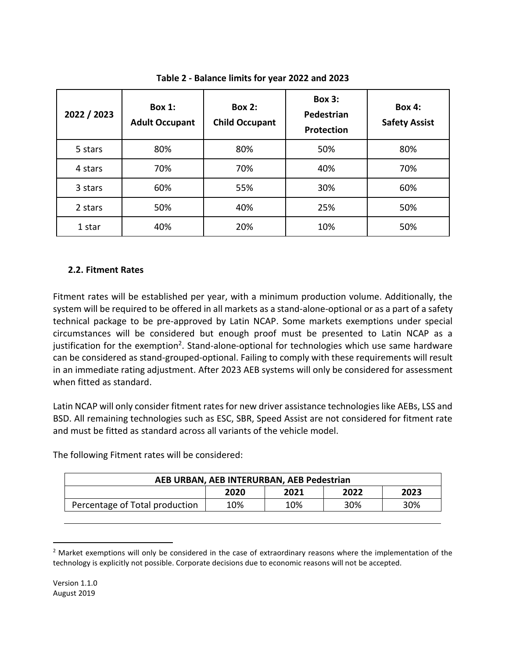| 2022 / 2023 | <b>Box 1:</b><br><b>Adult Occupant</b> | <b>Box 2:</b><br>Pedestrian<br><b>Child Occupant</b><br>Protection |     | <b>Box 4:</b><br><b>Safety Assist</b> |  |
|-------------|----------------------------------------|--------------------------------------------------------------------|-----|---------------------------------------|--|
| 5 stars     | 80%                                    | 80%                                                                | 50% | 80%                                   |  |
| 4 stars     | 70%                                    | 70%                                                                | 40% | 70%                                   |  |
| 3 stars     | 60%                                    | 55%                                                                | 30% | 60%                                   |  |
| 2 stars     | 50%                                    | 40%                                                                | 25% | 50%                                   |  |
| 1 star      | 40%                                    | 20%                                                                | 10% | 50%                                   |  |

**Table 2 - Balance limits for year 2022 and 2023**

# <span id="page-5-0"></span>**2.2. Fitment Rates**

Fitment rates will be established per year, with a minimum production volume. Additionally, the system will be required to be offered in all markets as a stand-alone-optional or as a part of a safety technical package to be pre-approved by Latin NCAP. Some markets exemptions under special circumstances will be considered but enough proof must be presented to Latin NCAP as a justification for the exemption<sup>2</sup>. Stand-alone-optional for technologies which use same hardware can be considered as stand-grouped-optional. Failing to comply with these requirements will result in an immediate rating adjustment. After 2023 AEB systems will only be considered for assessment when fitted as standard.

Latin NCAP will only consider fitment rates for new driver assistance technologies like AEBs, LSS and BSD. All remaining technologies such as ESC, SBR, Speed Assist are not considered for fitment rate and must be fitted as standard across all variants of the vehicle model.

The following Fitment rates will be considered:

| AEB URBAN, AEB INTERURBAN, AEB Pedestrian |      |      |      |      |  |
|-------------------------------------------|------|------|------|------|--|
|                                           | 2020 | 2021 | 2022 | 2023 |  |
| Percentage of Total production            | 10%  | 10%  | 30%  | 30%  |  |

 $2$  Market exemptions will only be considered in the case of extraordinary reasons where the implementation of the technology is explicitly not possible. Corporate decisions due to economic reasons will not be accepted.

l